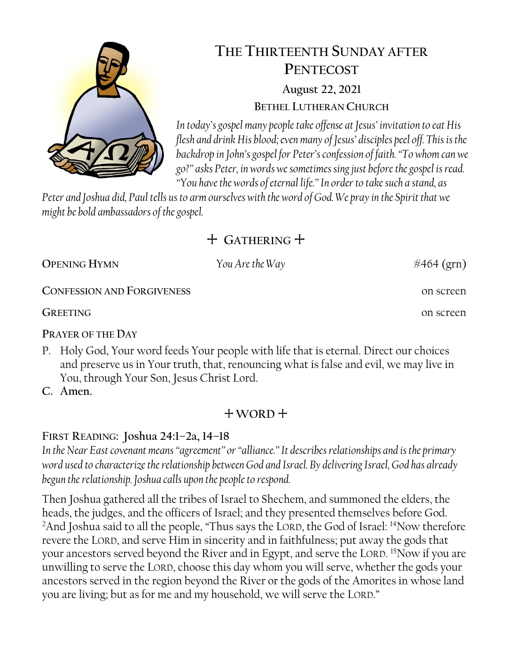

# **THE THIRTEENTH SUNDAY AFTER PENTECOST August 22, 2021 BETHEL LUTHERAN CHURCH**

*In today's gospel many people take offense at Jesus' invitation to eat His flesh and drink His blood; even many of Jesus' disciples peel off. This is the backdrop in John's gospel for Peter's confession of faith. "To whom can we go?" asks Peter, in words we sometimes sing just before the gospel is read. "You have the words of eternal life."In order to take such a stand, as* 

*Peter and Joshua did, Paul tells us to arm ourselves with the word of God. We pray in the Spirit that we might be bold ambassadors of the gospel.*

## + **GATHERING** +

**OPENING HYMN** You Are the Way  $\#464 \text{ (grn)}$ 

**CONFESSION AND FORGIVENESS** on screen

**GREETING** on screen

**PRAYER OF THE DAY**

P. Holy God, Your word feeds Your people with life that is eternal. Direct our choices and preserve us in Your truth, that, renouncing what is false and evil, we may live in You, through Your Son, Jesus Christ Lord.

**C. Amen.** 

## + **WORD** +

## **FIRST READING: Joshua 24:1–2a, 14–18**

*In the Near East covenant means "agreement" or "alliance."It describes relationships and is the primary word used to characterize the relationship between God and Israel. By delivering Israel, God has already begun the relationship. Joshua calls upon the people to respond.*

Then Joshua gathered all the tribes of Israel to Shechem, and summoned the elders, the heads, the judges, and the officers of Israel; and they presented themselves before God. <sup>2</sup>And Joshua said to all the people, "Thus says the LORD, the God of Israel: <sup>14</sup>Now therefore revere the LORD, and serve Him in sincerity and in faithfulness; put away the gods that your ancestors served beyond the River and in Egypt, and serve the LORD. <sup>15</sup>Now if you are unwilling to serve the LORD, choose this day whom you will serve, whether the gods your ancestors served in the region beyond the River or the gods of the Amorites in whose land you are living; but as for me and my household, we will serve the LORD."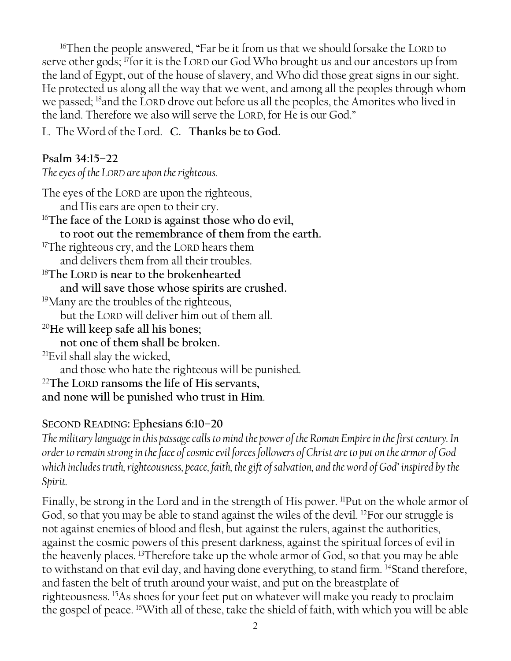<sup>16</sup>Then the people answered, "Far be it from us that we should forsake the LORD to serve other gods; <sup>17</sup> for it is the LORD our God Who brought us and our ancestors up from the land of Egypt, out of the house of slavery, and Who did those great signs in our sight. He protected us along all the way that we went, and among all the peoples through whom we passed; <sup>18</sup>and the LORD drove out before us all the peoples, the Amorites who lived in the land. Therefore we also will serve the LORD, for He is our God."

L. The Word of the Lord. **C. Thanks be to God.**

## **Psalm 34:15–22**

*The eyes of the LORD are upon the righteous.*

The eyes of the LORD are upon the righteous, and His ears are open to their cry. <sup>16</sup>**The face of the LORD is against those who do evil, to root out the remembrance of them from the earth.** <sup>17</sup>The righteous cry, and the LORD hears them and delivers them from all their troubles. <sup>18</sup>**The LORD is near to the brokenhearted and will save those whose spirits are crushed.** <sup>19</sup>Many are the troubles of the righteous, but the LORD will deliver him out of them all. <sup>20</sup>**He will keep safe all his bones; not one of them shall be broken.** <sup>21</sup>Evil shall slay the wicked, and those who hate the righteous will be punished. <sup>22</sup>**The LORD ransoms the life of His servants, and none will be punished who trust in Him**.

### **SECOND READING: Ephesians 6:10–20**

*The military language in this passage calls to mind the power of the Roman Empire in the first century. In order to remain strong in the face of cosmic evil forces followers of Christ are to put on the armor of God which includes truth, righteousness, peace, faith, the gift of salvation, and the word of God' inspired by the Spirit.*

Finally, be strong in the Lord and in the strength of His power. <sup>11</sup>Put on the whole armor of God, so that you may be able to stand against the wiles of the devil. <sup>12</sup>For our struggle is not against enemies of blood and flesh, but against the rulers, against the authorities, against the cosmic powers of this present darkness, against the spiritual forces of evil in the heavenly places. <sup>13</sup>Therefore take up the whole armor of God, so that you may be able to withstand on that evil day, and having done everything, to stand firm. <sup>14</sup>Stand therefore, and fasten the belt of truth around your waist, and put on the breastplate of righteousness. <sup>15</sup>As shoes for your feet put on whatever will make you ready to proclaim the gospel of peace. 16With all of these, take the shield of faith, with which you will be able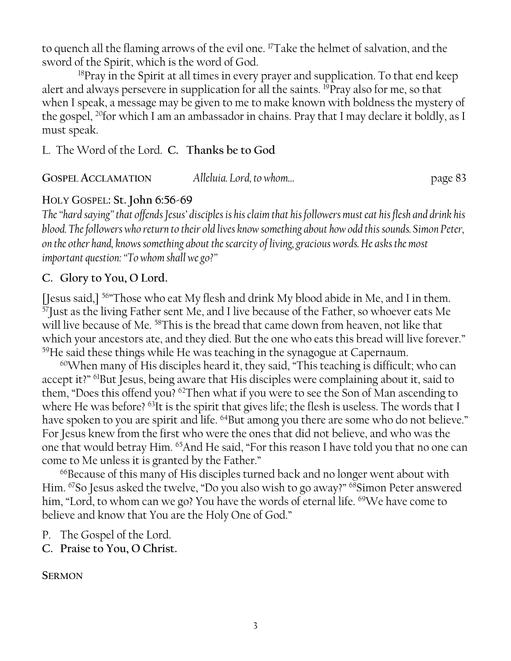to quench all the flaming arrows of the evil one. <sup>17</sup>Take the helmet of salvation, and the sword of the Spirit, which is the word of God.

<sup>18</sup>Pray in the Spirit at all times in every prayer and supplication. To that end keep alert and always persevere in supplication for all the saints. <sup>19</sup>Pray also for me, so that when I speak, a message may be given to me to make known with boldness the mystery of the gospel, <sup>20</sup>for which I am an ambassador in chains. Pray that I may declare it boldly, as I must speak.

L. The Word of the Lord. **C. Thanks be to God**

**GOSPEL ACCLAMATION** *Alleluia. Lord, to whom…* page 83

## HOLY GOSPEL**: St. John 6:56-69**

*The "hard saying"that offends Jesus' disciples is his claim that his followers must eat his flesh and drink his blood. The followers who return to their old lives know something about how odd this sounds. Simon Peter, on the other hand, knows something about the scarcity of living, gracious words. He asks the most important question: "To whom shall we go?"*

## **C. Glory to You, O Lord.**

[Jesus said,]<sup>56</sup> Those who eat My flesh and drink My blood abide in Me, and I in them.  $^{57}$ Just as the living Father sent Me, and I live because of the Father, so whoever eats Me will live because of Me. <sup>58</sup>This is the bread that came down from heaven, not like that which your ancestors ate, and they died. But the one who eats this bread will live forever." <sup>59</sup>He said these things while He was teaching in the synagogue at Capernaum.

 $60$ When many of His disciples heard it, they said, "This teaching is difficult; who can accept it?" <sup>61</sup>But Jesus, being aware that His disciples were complaining about it, said to them, "Does this offend you? <sup>62</sup>Then what if you were to see the Son of Man ascending to where He was before? <sup>63</sup>It is the spirit that gives life; the flesh is useless. The words that I have spoken to you are spirit and life. <sup>64</sup>But among you there are some who do not believe." For Jesus knew from the first who were the ones that did not believe, and who was the one that would betray Him. <sup>65</sup>And He said, "For this reason I have told you that no one can come to Me unless it is granted by the Father."

<sup>66</sup>Because of this many of His disciples turned back and no longer went about with Him. <sup>67</sup>So Jesus asked the twelve, "Do you also wish to go away?" <sup>68</sup>Simon Peter answered him, "Lord, to whom can we go? You have the words of eternal life. <sup>69</sup>We have come to believe and know that You are the Holy One of God."

- P. The Gospel of the Lord.
- **C. Praise to You, O Christ.**

**SERMON**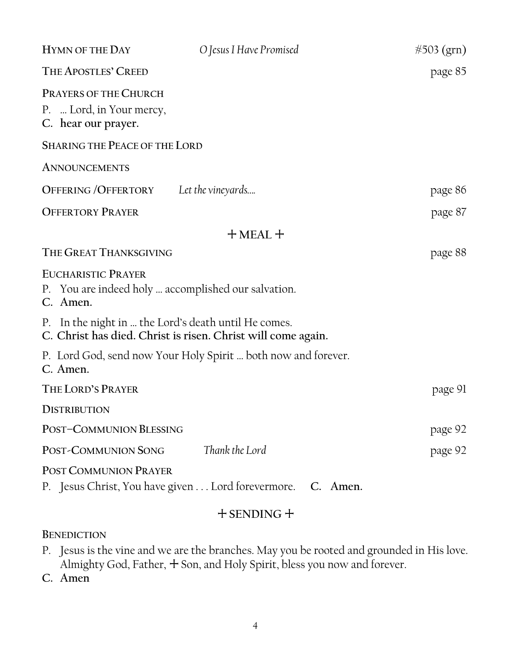| <b>HYMN OF THE DAY</b>                                                                       | O Jesus I Have Promised                                       | #503 (grn) |
|----------------------------------------------------------------------------------------------|---------------------------------------------------------------|------------|
| THE APOSTLES' CREED                                                                          |                                                               | page 85    |
| <b>PRAYERS OF THE CHURCH</b><br>P.  Lord, in Your mercy,<br>C. hear our prayer.              |                                                               |            |
| <b>SHARING THE PEACE OF THE LORD</b>                                                         |                                                               |            |
| <b>ANNOUNCEMENTS</b>                                                                         |                                                               |            |
| <b>OFFERING / OFFERTORY</b>                                                                  | Let the vineyards                                             | page 86    |
| <b>OFFERTORY PRAYER</b>                                                                      |                                                               | page 87    |
| $+$ MEAL $+$                                                                                 |                                                               |            |
| THE GREAT THANKSGIVING                                                                       |                                                               | page 88    |
| <b>EUCHARISTIC PRAYER</b><br>P. You are indeed holy  accomplished our salvation.<br>C. Amen. |                                                               |            |
| P. In the night in  the Lord's death until He comes.                                         | C. Christ has died. Christ is risen. Christ will come again.  |            |
| C. Amen.                                                                                     | P. Lord God, send now Your Holy Spirit  both now and forever. |            |
| THE LORD'S PRAYER                                                                            |                                                               | page 91    |
| <b>DISTRIBUTION</b>                                                                          |                                                               |            |
| POST-COMMUNION BLESSING                                                                      |                                                               | page 92    |
| POST-COMMUNION SONG                                                                          | Thank the Lord                                                | page 92    |
| <b>POST COMMUNION PRAYER</b>                                                                 | P. Jesus Christ, You have given Lord forevermore. C. Amen.    |            |

## + **SENDING** +

**BENEDICTION**

P. Jesus is the vine and we are the branches. May you be rooted and grounded in His love. Almighty God, Father, + Son, and Holy Spirit, bless you now and forever.

**C. Amen**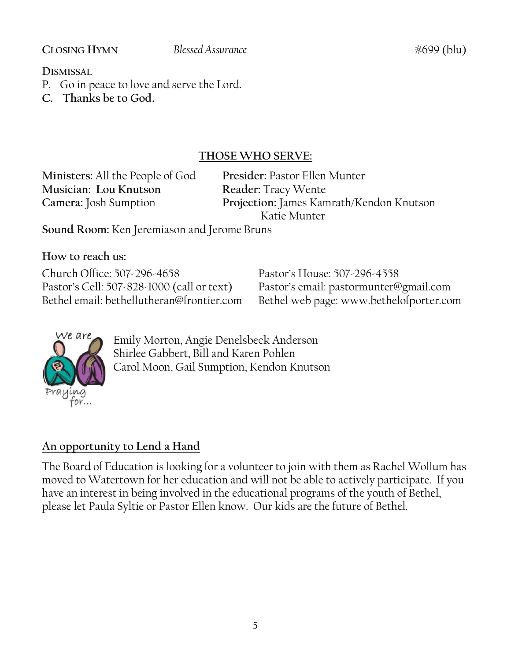#### **CLOSING HYMN Blessed Assurance** #699 (blu)

**DISMISSAL** 

- P. Go in peace to love and serve the Lord.
- **C. Thanks be to God.**

## **THOSE WHO SERVE:**

**Ministers:** All the People of God **Presider:** Pastor Ellen Munter **Musician: Lou Knutson Reader:** Tracy Wente

**Camera:** Josh Sumption **Projection:** James Kamrath/Kendon Knutson Katie Munter

**Sound Room:** Ken Jeremiason and Jerome Bruns

**How to reach us:**

Church Office: 507-296-4658 Pastor's House: 507-296-4558 Pastor's Cell: 507-828-1000 (call or text) Pastor's email: pastormunter@gmail.com

Bethel email: bethellutheran@frontier.com Bethel web page: www.bethelofporter.com



Emily Morton, Angie Denelsbeck Anderson Shirlee Gabbert, Bill and Karen Pohlen Carol Moon, Gail Sumption, Kendon Knutson

## **An opportunity to Lend a Hand**

The Board of Education is looking for a volunteer to join with them as Rachel Wollum has moved to Watertown for her education and will not be able to actively participate. If you have an interest in being involved in the educational programs of the youth of Bethel, please let Paula Syltie or Pastor Ellen know. Our kids are the future of Bethel.